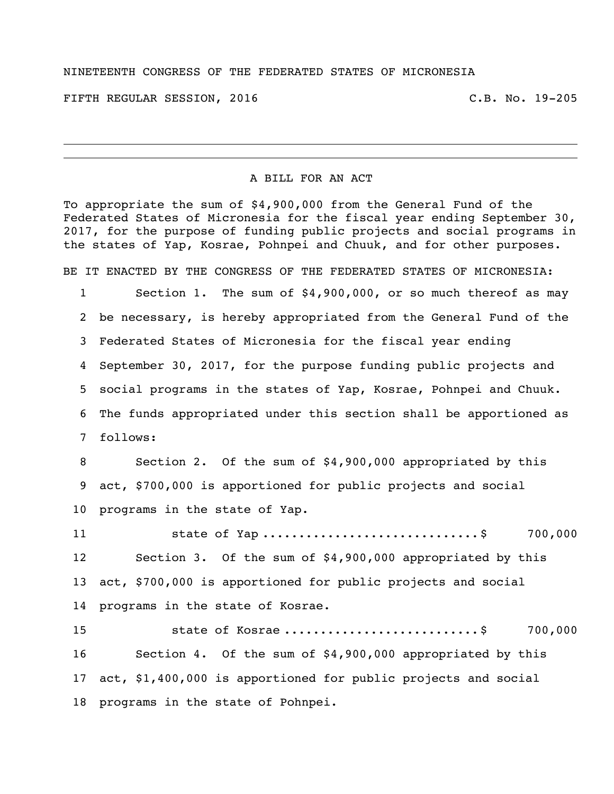## NINETEENTH CONGRESS OF THE FEDERATED STATES OF MICRONESIA

FIFTH REGULAR SESSION, 2016 C.B. No. 19-205

## A BILL FOR AN ACT

To appropriate the sum of \$4,900,000 from the General Fund of the Federated States of Micronesia for the fiscal year ending September 30, 2017, for the purpose of funding public projects and social programs in the states of Yap, Kosrae, Pohnpei and Chuuk, and for other purposes.

BE IT ENACTED BY THE CONGRESS OF THE FEDERATED STATES OF MICRONESIA:

 Section 1. The sum of \$4,900,000, or so much thereof as may be necessary, is hereby appropriated from the General Fund of the Federated States of Micronesia for the fiscal year ending September 30, 2017, for the purpose funding public projects and social programs in the states of Yap, Kosrae, Pohnpei and Chuuk. The funds appropriated under this section shall be apportioned as follows:

 Section 2. Of the sum of \$4,900,000 appropriated by this act, \$700,000 is apportioned for public projects and social programs in the state of Yap.

11 state of Yap ..................................\$ 700,000 Section 3. Of the sum of \$4,900,000 appropriated by this act, \$700,000 is apportioned for public projects and social programs in the state of Kosrae.

15 5tate of Kosrae .................................\$ 700,000 Section 4. Of the sum of \$4,900,000 appropriated by this act, \$1,400,000 is apportioned for public projects and social programs in the state of Pohnpei.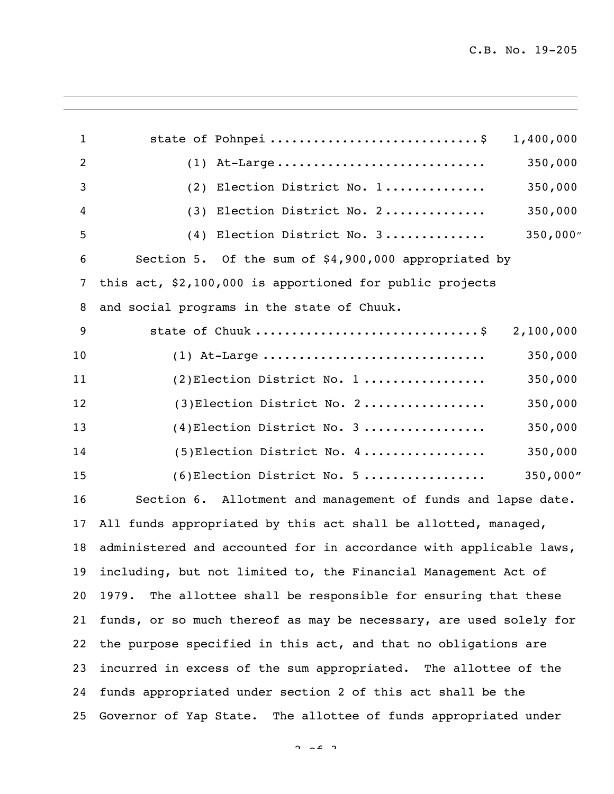| $\mathbf{1}$   | state of Pohnpei \$<br>1,400,000                                   |
|----------------|--------------------------------------------------------------------|
| $\overline{2}$ | 350,000<br>$(1)$ At-Large                                          |
| 3              | 350,000<br>(2) Election District No. 1                             |
| 4              | (3) Election District No. 2<br>350,000                             |
| 5              | 350,000''<br>(4) Election District No. 3                           |
| 6              | Section 5. Of the sum of \$4,900,000 appropriated by               |
| 7              | this act, \$2,100,000 is apportioned for public projects           |
| 8              | and social programs in the state of Chuuk.                         |
| 9              | state of Chuuk \$<br>2,100,000                                     |
| 10             | 350,000<br>$(1)$ At-Large                                          |
| 11             | 350,000<br>$(2)$ Election District No. 1                           |
| 12             | $(3)$ Election District No. 2<br>350,000                           |
| 13             | $(4)$ Election District No. 3<br>350,000                           |
| 14             | $(5)$ Election District No. 4<br>350,000                           |
| 15             | 350,000"<br>$(6)$ Election District No. 5                          |
| 16             | Section 6. Allotment and management of funds and lapse date.       |
| 17             | All funds appropriated by this act shall be allotted, managed,     |
| 18             | administered and accounted for in accordance with applicable laws, |
| 19             | including, but not limited to, the Financial Management Act of     |
| 20             | The allottee shall be responsible for ensuring that these<br>1979. |
| 21             | funds, or so much thereof as may be necessary, are used solely for |
| 22             | the purpose specified in this act, and that no obligations are     |
| 23             | incurred in excess of the sum appropriated. The allottee of the    |
| 24             | funds appropriated under section 2 of this act shall be the        |
| 25             | Governor of Yap State. The allottee of funds appropriated under    |
|                |                                                                    |

 $2 \times 2$